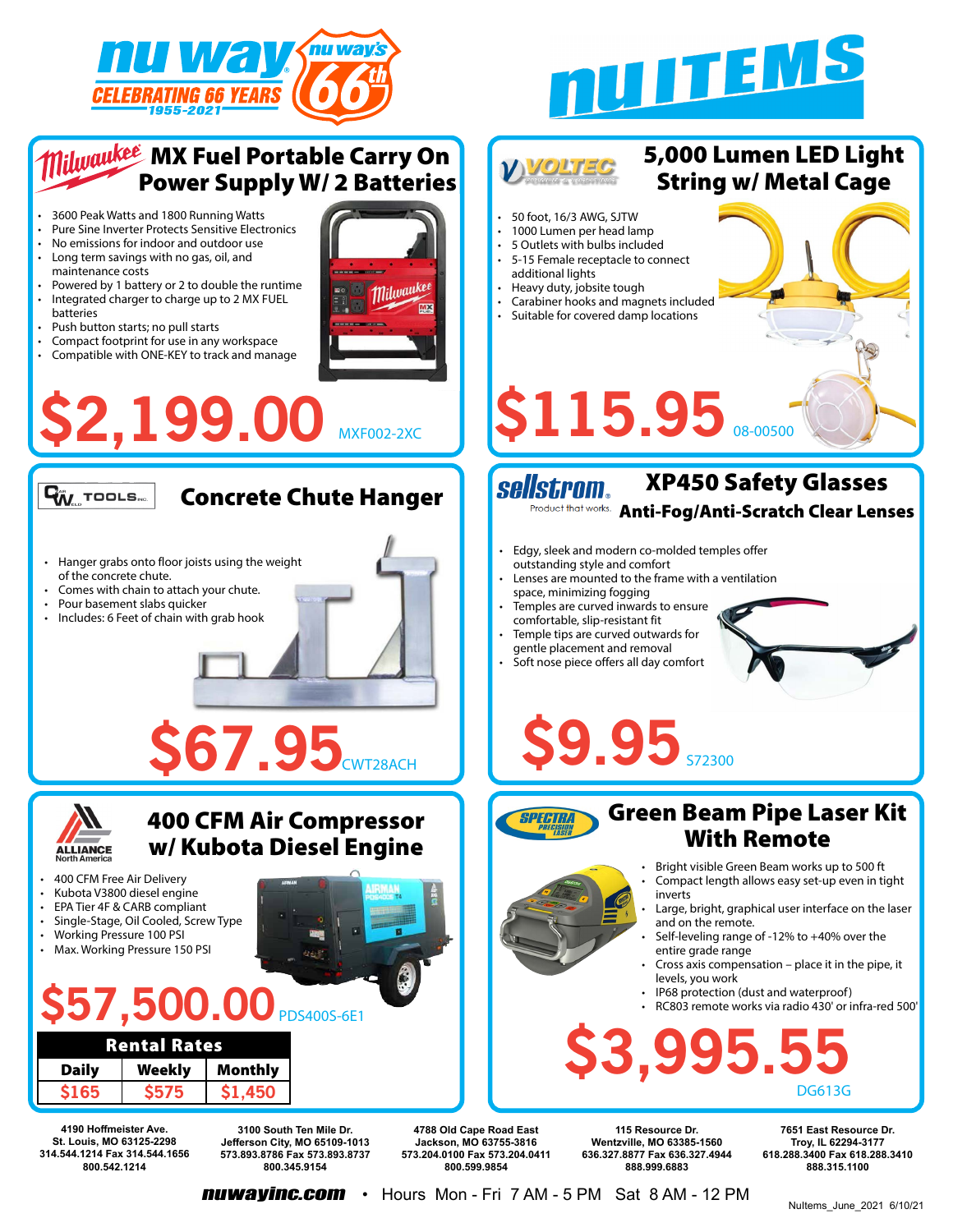





**nuwayinc.com** • Hours Mon - Fri 7 AM - 5 PM Sat 8 AM - 12 PM

NuItems\_June\_2021 6/10/21

**888.315.1100**